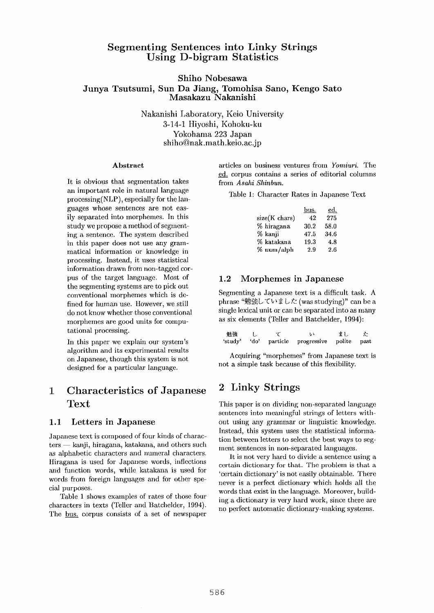## **Segmenting Sentences into Linky Strings Using D-bigram Statistics**

## **Shiho Nobesawa Junya Tsutsumi, Sun Da Jiang, Tomohisa Sano, Kengo Sato Masakazu Nakanishi**

Nakanishi Laboratory, Keio University 3-14-1 Hiyoshi, Kohoku-ku Yokohama 223 Japan shiho@nak.math.keio.ac.jp

#### **Abstract**

It is obvious that segmentation takes an important role in natural language processing(NLP), especially for the languages whose sentences are not easily separated into morphemes. In this study we propose a method of segmenting a sentence. The system described in this paper does not use any grammatical information or knowledge in processing. Instead, it uses statistical information drawn from non-tagged corpus of the target language. Most of the segmenting systems are to pick out conventional morphemes which is defined for human use. However, we still do not know whether those conventional morphemes are good units for computational processing.

In this paper we explain our system's algorithm and its experimental results on Japanese, though this system is not designed for a particular language.

# **1 Characteristics of Japanese Text**

## 1.1 Letters in **Japanese**

Japanese text is composed of four kinds of charac $ters$  - kanji, hiragana, katakana, and others such as alphabetic characters and numeral characters. Itiragana is used fbr Japanese words, inflections and function words, while katakana is used for words from foreign languages and for other special purposes.

Table 1 shows examples of rates of those four characters in texts (Teller and Batchelder, 1994). The bus. corpus consists of a set of newspaper

articles on business ventures from *Yomiuri.* The ed\_\_:, corpus contains a series of editorial columns from *Asahi Shinbun.* 

Table 1: Character Rates in Japanese Text

|               | bus. | ed.  |
|---------------|------|------|
| size(K chars) | 42   | 275  |
| % hiragana    | 30.2 | 58.0 |
| % kanji       | 47.5 | 34.6 |
| % katakana    | 19.3 | 4.8  |
| % num/alph    | 2.9  | 2.6  |

## 1.2 Morphemes in Japanese

Segmenting a Japanese text is a difficult task. A phrase "勉強していました (was studying)" can be a single lexical unit or can be separated into as many as six elements (Teller and Batchelder, 1994):

| 勉強 |  | درا                                           | まし |  |
|----|--|-----------------------------------------------|----|--|
|    |  | 'study' 'do' particle progressive polite past |    |  |

Acquiring "morphemes" from Japanese text is not a simple task because of this flexibility.

# **2 Linky Strings**

This paper is on dividing non-separated language sentences into meaningful strings of letters without using any grammar or linguistic knowledge. Instead, this system uses the statistical information between letters to select the best ways to segment sentences in non-separated languages.

It is not very hard to divide a sentence using a certain dictionary for that. The problem is that a 'certain dictionary' is not easily obtainable. There never is a perfect dictionary which holds all the words that exist in the language. Moreover, building a dictionary is very hard work, since there are no perfect automatic dictionary-making systems.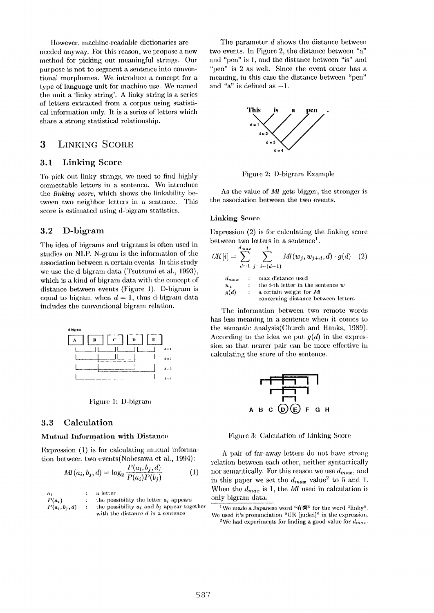llowever, machine-readable dictionaries are needed anyway. For this reason, we propose a new method for picking out meaningful strings. Our purpose is not to segment a sentence into conventional morphemes. We introduce a concept for a type of language unit for machine use. We named the unit a 'linky string'. A linky string is a series of letters extracted from a corpus using statistical intbrmation only. It is a series of letters which share a strong statistical relationship.

## 3 LINKING SCORE

### 3.1 Linking Score

To pick out linky strings, we need to find highly connectable letters in a sentence. We introduce the *linking score.,* which shows the linkability between two neighbor letters in a sentence. This score is estimated using d-bigram statistics.

## 3.2 **D-bigram**

The idea of bigrams and trigrams is often used in studies on NLP. N-gram is the information of the association between  $n$  certain events. In this study we use the d-bigram data (Tsutsumi et al., 1993), which is a kind of bigram data with the concept of distance between events (Figure 1). D-bigram is equal to bigram when  $d = 1$ , thus d-bigram data includes the conventional bigram relation.



Figure 1: D-bigram

### **3.3 Calculation**

#### Mutual Information with Distance

Expression  $(1)$  is for calculating mutual information between two events(Nobesawa et al., 1994):

$$
MI(a_i, b_j, d) = \log_2 \frac{P(a_i, b_j, d)}{P(a_i)P(b_j)}
$$
(1)

a letter  $P(a_i)$  : the possibility the letter  $a_i$  appears  $P(a_i, b_i, d)$  : the possibility  $a_i$  and  $b_i$  appear together with the distance d in a sentence

The parameter d shows the distance between two events. In Figure 2, the distance between "a" and "pen" is 1, and the distance between "is" and "pen" is 2 as well. Since the event order has a meaning, in this case the distance between *"pen"*  and "a" is defined as  $-1$ .



Figure 2: D-bigram Example

As the value of *MI* gets bigger, the stronger is the association between the two events.

#### Linking **Score**

Expression  $(2)$  is for calculating the linking score between two letters in a sentence<sup>1</sup>.

$$
UK[i] = \sum_{d=1}^{a_{max}} \sum_{j=i-(d-1)}^{i} MI(w_j, w_{j+d}, d) \cdot g(d) \quad (2)
$$
  
\n
$$
\begin{array}{rcl}\nd_{max} & \text{: } max \text{ distance used} \\
w_i & \text{: } the i\text{-th letter in the sentence } w \\
g(d) & \text{: } a \text{ certain weight for } M\n\end{array}
$$

$$
u) \qquad : \quad a \text{ certain weight for } \mathit{M1}
$$
\n
$$
\text{concerning distance between letters}
$$

The information between two remote words has less meaning in a sentence when it comes to the semantic analysis(Church and Hanks, 1989). According to the idea we put  $g(d)$  in the expression so that nearer pair can be more effective in calculating the score of the sentence.



Figure 3: Calculation of Linking Score

A pair of far-away letters do not have strong relation between each other, neither syntactically nor semantically. For this reason we use  $d_{max}$ , and in this paper we set the  $d_{max}$  value<sup>2</sup> to 5 and 1. When the  $d_{max}$  is 1, the *MI* used in calculation is only bigram data.

<sup>&</sup>lt;sup>1</sup>We made a Japanese word "有繁" for the word "linky". We used it's pronunciation "UK  $[$ ju:kei]" in the expression. <sup>2</sup>We had experiments for finding a good value for  $d_{max}$ .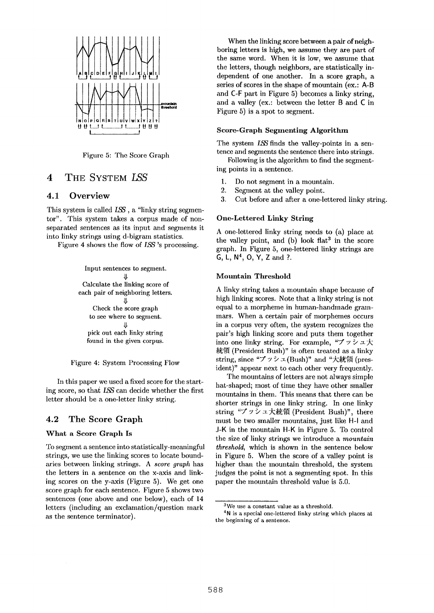

Figure 5: The Score Graph

## 4 THE SYSTEM LSS

## **4.1 Overview**

This system is called LSS, a "linky string segmentor". This system takes a corpus made of nonseparated sentences as its input and segments it into linky strings using d-bigram statistics.

Figure 4 shows the flow of LSS's processing.



Figure 4: System Processing Flow

In this paper we used a fixed score for the starting score, so that LSS can decide whether the first letter should be a one-letter linky string.

## 4.2 The Score Graph

### What a Score Graph Is

To segment a sentence into statistically-meaningful strings, we use the linking scores to locate boundaries between linking strings. A *score graph* has the letters in a sentence on the x-axis and linking scores on the y-axis (Figure 5). We get one score graph for each sentence. Figure 5 shows two sentences (one above and one below), each of 14 letters (including an exclamation/question mark as the sentence terminator).

When the linking score between a pair of neighboring letters is high, we assume they are part of the same word. When it is low, we assume that the letters, though neighbors, are statistically independent of one another. In a score graph, a series of scores in the shape of mountain (ex.: A-B and C-F part in Figure 5) becomes a linky string, and a valley (ex.: between the letter B and C in Figure 5) is a spot to segment.

#### Score-Graph Segmenting Algorithm

The system LSS finds the valley-points in a sentence and segments the sentence there into strings.

Following is the algorithm to find the segmenting points in a sentence.

- 1. Do not segment in a mountain.
- 2. Segment at the valley point.
- 3. Cut before and after a one-lettered linky string.

#### One-Lettered Linky String

A one-lettered linky string needs to (a) place at the valley point, and (b) look  $flat<sup>3</sup>$  in the score graph. In Figure 5, one-lettered linky strings are G, L,  $N<sup>4</sup>$ , O, Y, Z and ?.

### **Mountain Threshold**

A linky string takes a mountain shape because of high linking scores. Note that a linky string is not equal to a morpheme in human-handmade grammars. When a certain pair of morphemes occurs in a corpus very often, the system recognizes the pair's high linking score and puts them together into one linky string. For example, " $\mathcal{I} \vee \mathcal{I} \vee \mathcal{I}$ 統領 (President Bush)" is often treated as a linky string, since "ブッシュ(Bush)" and "大統領 (president)" appear next to each other very frequently.

The mountains of letters are not always simple hat-shaped; most of time they have other smaller mountains in them. This means that there can be shorter strings in one linky string. In one linky string "ブッシュ大統領 (President Bush)", there must be two smaller mountains, just like H-I and J-K in the mountain H-K in Figure 5. To control the size of linky strings we introduce a *mountain threshold,* which is shown in the sentence below in Figure 5. When the score of a valley point is higher than the mountain threshold, the system judges the point is not a segmenting spot. In this paper the mountain threshold value is 5.0.

<sup>3</sup>We use a constant value as a threshold.

 $4N$  is a special one-lettered linky string which places at the beginning of a sentence.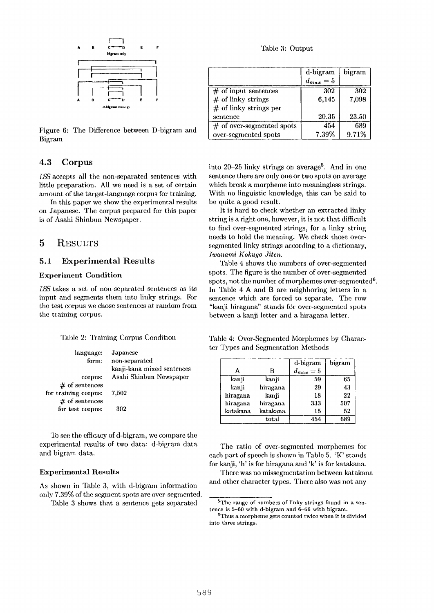

Figure **6:**  The Difference between D-bigram and Bigram

## **4.3** Corpus

LSS accepts all the non-separated sentences with little preparation. All we need is a set of certain amount of the target-language corpus for training.

In this paper we show the experimental results on Japanese. The corpus prepared for this paper is of Asahi Shinbun Newspaper.

## 5 RESULTS

### 5.1 Experimental **Results**

## Experiment Condition

LSS takes a set of non-separated sentences as its input and segments them into linky strings. For the test corpus we chose sentences at random from the training corpus.

#### 'Fable 2: Training Corpus Condition

| language:<br>form:   | Japanese<br>non-separated<br>kanji-kana mixed sentences |
|----------------------|---------------------------------------------------------|
| corpus:              | Asahi Shinbun Newspaper                                 |
| $#$ of sentences     |                                                         |
| for training corpus: | 7.502                                                   |
| $#$ of sentences     |                                                         |
| for test corpus:     | 302                                                     |

To see the efficacy of d-bigram, we compare the experimental results of two data: d-bigram data and bigram data.

#### Experimental **Results**

As shown in Table 3, with d-bigram information only 7.39% of the segment spots are over-segmented.

Table 3 shows that a sentence gets separated

'Fable 3: Output

|                             | d-bigram    | bigram |
|-----------------------------|-------------|--------|
|                             | $d_{max}=5$ |        |
| $#$ of input sentences      | 302         | 302    |
| $#$ of linky strings        | 6,145       | 7,098  |
| $#$ of linky strings per    |             |        |
| sentence                    | 20.35       | 23.50  |
| $#$ of over-segmented spots | 454         | 689    |
| over-segmented spots        | 7.39%       | 9.71%  |

into  $20-25$  linky strings on average<sup>5</sup>. And in one sentence there are only one or two spots on average which break a morpheme into meaningless strings. With no linguistic knowledge, this can be said to be quite a good result.

It is hard to check whether an extracted linky string is a right one, however, it is not that difficult to find over-segmented strings, for a linky string needs to hold the meaning. We check those oversegmented linky strings according to a dictionary, *Iwanami Kokugo Jiten.* 

Table 4 shows the numbers of over-segmented spots. The figure is the number of over-segmented spots, not the number of morphemes over-segmented $6$ . In Table 4 A and B are neighboring letters in a sentence which are forced to separate. The row "kanji hiragana" stands fdr over-segmented spots between a kanji letter and a hiragana letter.

Table 4: Over-Segmented Morphemes by Character Types and Segmentation Methods

|          |                | d-bigram    | bigram |
|----------|----------------|-------------|--------|
|          | B              | $d_{max}=5$ |        |
| kanji    | kanji          | 59          | 65     |
| kanji    | hiragana       | 29          | 43     |
| hiragana | kanji          | 18          | 22     |
| hiragana | hiragana       | 333         | 507    |
| katakana | katakana       | 15          | 52     |
|          | $_{\rm total}$ | 454         | 689    |

The ratio of over-segmented morphemes for each part of speech is shown in Table 5. 'K' stands for kanji, 'h' is for hiragana and 'k' is for katakana.

There was no missegmentation between katakana and other character types. There also was not any

<sup>5&#</sup>x27;Fhe range of numbers of linky strings found in a sentence is 5-60 with d-bigram and 6-66 with bigram.

<sup>6</sup>Thus a morpheme **gets** counted twice when it is divided into three strings.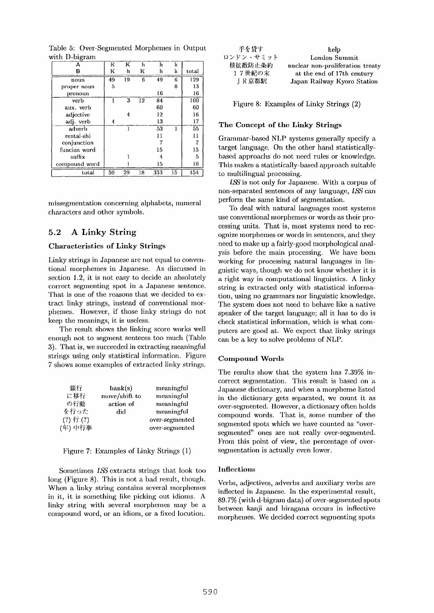| А             | K  | K  | h  | h   | k  |       |
|---------------|----|----|----|-----|----|-------|
| B             | K  | h  | K  | h   | k  | total |
| noun          | 49 | 19 | 6  | 49  | 6  | 129   |
| proper noun   | 5  |    |    |     | 8  | 13    |
| pronoun       |    |    |    | 16  |    | 16    |
| verb          | 1  | 3  | 12 | 84  |    | 100   |
| aux. verb     |    |    |    | 60  |    | 60    |
| adjective     |    | 4  |    | 12  |    | 16    |
| adj. verb     | 4  |    |    | 13  |    | 17    |
| adverb        |    | 1  |    | 53  |    | 55    |
| rentai-shi    |    |    |    | 11  |    | 11    |
| conjunction   |    |    |    |     |    |       |
| funcion word  |    |    |    | 15  |    | 15    |
| suffix        |    |    |    | 4   |    | 5     |
| compound word |    |    |    | 15  |    | 16    |
| total         | 59 | 29 | 18 | 333 | 15 | 454   |

Table 5: Over-Segmented Morphemes in Output with D-bigram

missegmentation concerning alphabets, numeral characters and other symbols.

## 5.2 A Linky String

### **Characteristics of Linky Strings**

Linky strings in Japanese are not equal to conventional morphemes in Japanese. As discussed in section 1.2, it is not easy to decide an absolutely correct segmenting spot in a Japanese sentence. That is one of the reasons that we decided to extract linky strings, instead of conventional morphemes. However, if those linky strings do not keep the meanings, it is useless.

The result shows the linking score works well enough not to segment senteces too much (Table 3). That is, we succeeded in extracting meaningful strings using only statistical information. Figure 7 shows some examples of extracted linky strings.

| 銀行            | bank(s)       | meaningful     |
|---------------|---------------|----------------|
| に移行           | move/shift to | meaningful     |
| の行動           | action of     | meaningful     |
| を行った          | did           | meaningful     |
| $(?)$ 行 $(?)$ |               | over-segmented |
| (年)中行事        |               | over-segmented |

Figure 7: Examples of Linky Strings (1)

Sometimes LSS extracts strings that look too long (Figure 8). This is not a bad result, though. When a linky string contains several morphemes in it, it is something like picking out idioms. A linky string with several morphemes may be a compound word, or an idiom, or a fixed locution.

| 手を貸す      | help                             |
|-----------|----------------------------------|
| ロンドン・サミット | London Summit                    |
| 核拡散防止条約   | nuclear non-proliferation treaty |
| 17世紀の末    | at the end of 17th century       |
| JR京都駅     | Japan Railway Kyoro Station      |

Figure 8: Examples of Linky Strings (2)

#### The Concept of the Linky Strings

Grammar-based NLP systems generally specify a target language. On the other hand statisticallybased approachs do not need rules or knowledge. This makes a statistically-based approach suitable to nmltilingual processing.

LSS is not only for Japanese. With a corpus of non-separated sentences of any language, LSS can perform the same kind of segmentation.

To deal with natural languages most systems use conventional morphemes or words as their processing units. That is, most systems need to recognize morphemes or words in sentences, and they need to make up a fairly-good morphological analysis before the main processing. We have been working for processing natural languages in linguistic ways, though we do not know whether it is a right way in computational linguistics. A linky string is extracted only with statistical information, using no grammars nor linguistic knowledge. The system does not need to behave like a native speaker of the target language; all it has to do is check statistical information, which is what computers are good at. We expect that linky strings can be a key to solve problems of NLP.

#### Compound Words

The results show that the system has 7.39% incorrect segmentation. This result is based on a Japanese dictionary, and when a morpheme listed in the dictionary gets separated, we count it as over-segmented. However, a dictionary often holds compound words. That is, some number of the segmented spots which we have counted as "oversegmented" ones are not really over-segmented. From this point of view, the percentage of oversegmentation is actually even lower.

#### Inflections

Verbs, adjectives, adverbs and auxiliary verbs are inflected in Japanese. In the experimental result, 89.7% (with d-bigram data) of over-segmented spots between kanji and hiragana occurs in inflective morphemes. We decided correct segmenting spots